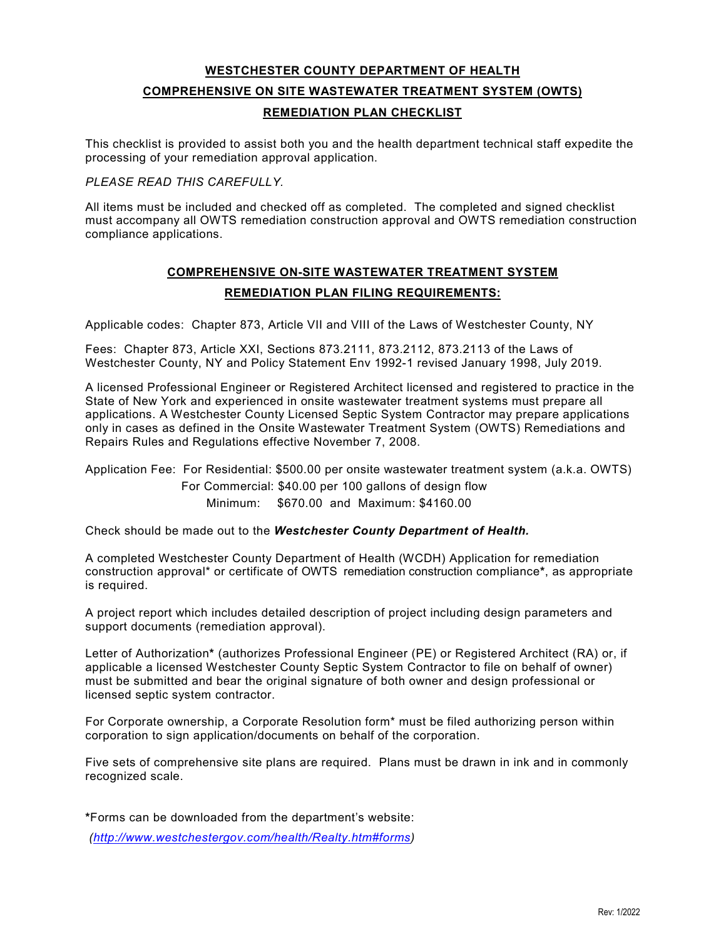# **WESTCHESTER COUNTY DEPARTMENT OF HEALTH COMPREHENSIVE ON SITE WASTEWATER TREATMENT SYSTEM (OWTS) REMEDIATION PLAN CHECKLIST**

 This checklist is provided to assist both you and the health department technical staff expedite the processing of your remediation approval application.

### *PLEASE READ THIS CAREFULLY.*

 All items must be included and checked off as completed. The completed and signed checklist must accompany all OWTS remediation construction approval and OWTS remediation construction compliance applications.

# **COMPREHENSIVE ON-SITE WASTEWATER TREATMENT SYSTEM REMEDIATION PLAN FILING REQUIREMENTS:**

Applicable codes: Chapter 873, Article VII and VIII of the Laws of Westchester County, NY

 Fees: Chapter 873, Article XXI, Sections 873.2111, 873.2112, 873.2113 of the Laws of Westchester County, NY and Policy Statement Env 1992-1 revised January 1998, July 2019.

 State of New York and experienced in onsite wastewater treatment systems must prepare all applications. A Westchester County Licensed Septic System Contractor may prepare applications A licensed Professional Engineer or Registered Architect licensed and registered to practice in the only in cases as defined in the Onsite Wastewater Treatment System (OWTS) Remediations and Repairs Rules and Regulations effective November 7, 2008.

Application Fee: For Residential: \$500.00 per onsite wastewater treatment system (a.k.a. OWTS)

Minimum: For Commercial: \$40.00 per 100 gallons of design flow \$670.00 and Maximum: \$4160.00

Check should be made out to the *Westchester County Department of Health.* 

 A completed Westchester County Department of Health (WCDH) Application for remediation construction approval\* or certificate of OWTS remediation construction compliance**\***, as appropriate is required.

 support documents (remediation approval). A project report which includes detailed description of project including design parameters and

 Letter of Authorization**\*** (authorizes Professional Engineer (PE) or Registered Architect (RA) or, if applicable a licensed Westchester County Septic System Contractor to file on behalf of owner) must be submitted and bear the original signature of both owner and design professional or licensed septic system contractor.

 For Corporate ownership, a Corporate Resolution form\* must be filed authorizing person within corporation to sign application/documents on behalf of the corporation.

 recognized scale. Five sets of comprehensive site plans are required. Plans must be drawn in ink and in commonly

**\***Forms can be downloaded from the department's website:

*[\(http://www.westchestergov.com/health/Realty.htm#forms\)](http://www.westchestergov.com/health/Realty.htm#forms)*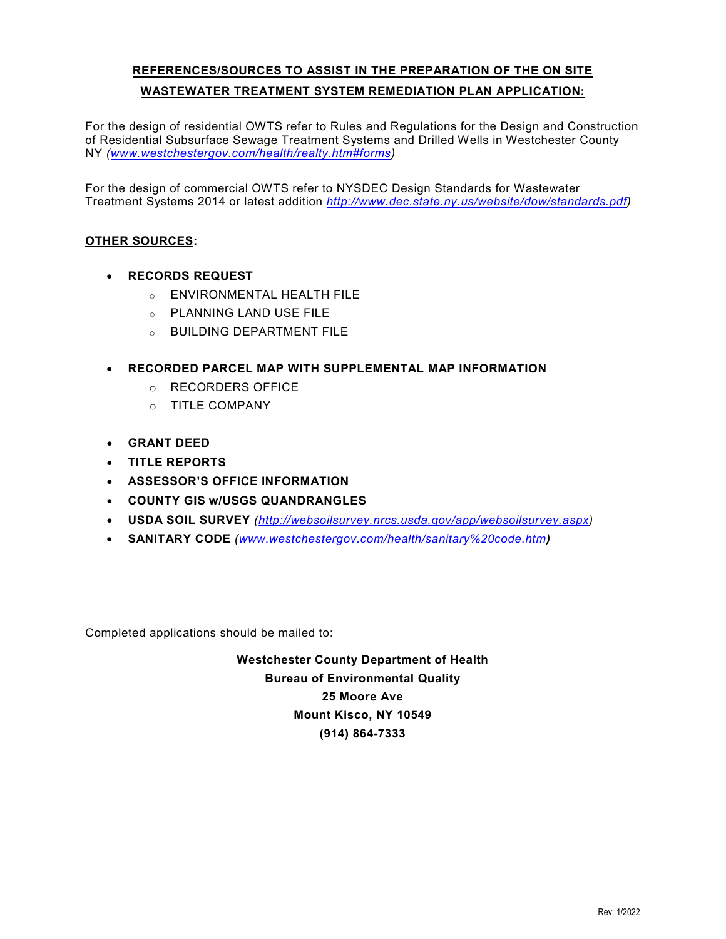# **WASTEWATER TREATMENT SYSTEM REMEDIATION PLAN APPLICATION: REFERENCES/SOURCES TO ASSIST IN THE PREPARATION OF THE ON SITE**

 For the design of residential OWTS refer to Rules and Regulations for the Design and Construction of Residential Subsurface Sewage Treatment Systems and Drilled Wells in Westchester County NY *[\(www.westchestergov.com/health/realty.htm#forms\)](http://www.westchestergov.com/health/realty.htm#forms)* 

 For the design of commercial OWTS refer to NYSDEC Design Standards for Wastewater Treatment Systems 2014 or latest addition *[http://www.dec.state.ny.us/website/dow/standards.pdf\)](http://www.dec.state.ny.us/website/dow/standards.pdf)* 

## **OTHER SOURCES:**

- **RECORDS REQUEST** 
	- o ENVIRONMENTAL HEALTH FILE
	- o PLANNING LAND USE FILE
	- o BUILDING DEPARTMENT FILE
- **RECORDED PARCEL MAP WITH SUPPLEMENTAL MAP INFORMATION** 
	- o RECORDERS OFFICE
	- o TITLE COMPANY
- **GRANT DEED**
- **TITLE REPORTS**
- **ASSESSOR'S OFFICE INFORMATION**
- **COUNTY GIS w/USGS QUANDRANGLES**
- **USDA SOIL SURVEY** *[\(http://websoilsurvey.nrcs.usda.gov/app/websoilsurvey.aspx\)](http://websoilsurvey.nrcs.usda.gov/app/websoilsurvey.aspx)*
- **SANITARY CODE** *[\(www.westchestergov.com/health/sanitary%20code.htm](http://www.westchestergov.com/health/sanitary%20code.htm))*

Completed applications should be mailed to:

**Westchester County Department of Health Bureau of Environmental Quality 25 Moore Ave Mount Kisco, NY 10549 (914) 864-7333**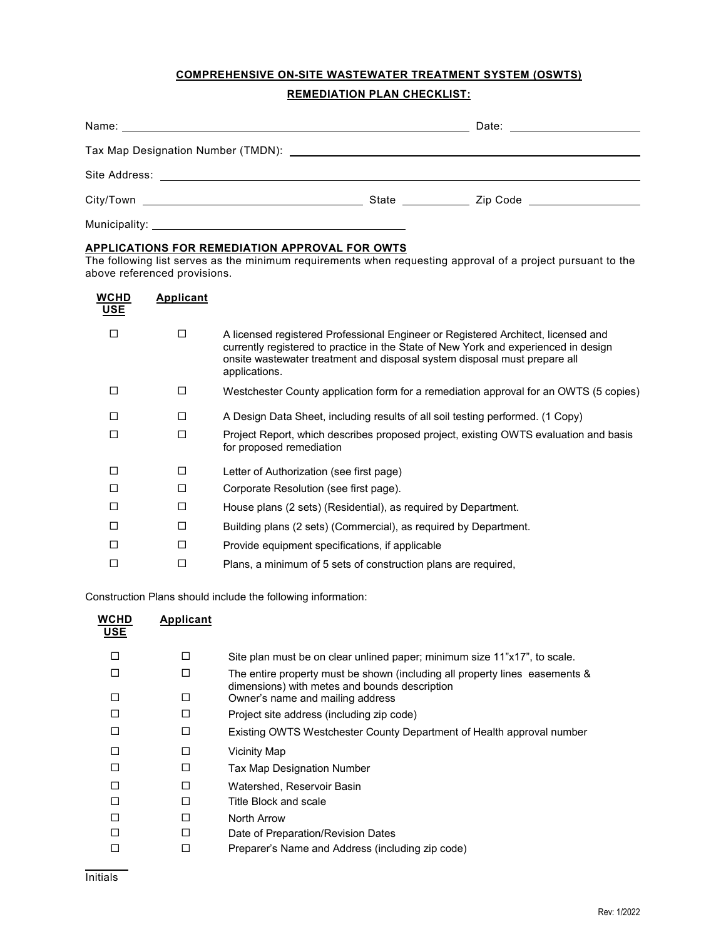## **COMPREHENSIVE ON-SITE WASTEWATER TREATMENT SYSTEM (OSWTS)**

### **REMEDIATION PLAN CHECKLIST:**

### **APPLICATIONS FOR REMEDIATION APPROVAL FOR OWTS**

The following list serves as the minimum requirements when requesting approval of a project pursuant to the above referenced provisions.

| <b>WCHD</b><br><b>USE</b> | Applicant |                                                                                                                                                                                                                                                                        |
|---------------------------|-----------|------------------------------------------------------------------------------------------------------------------------------------------------------------------------------------------------------------------------------------------------------------------------|
| П                         | □         | A licensed registered Professional Engineer or Registered Architect, licensed and<br>currently registered to practice in the State of New York and experienced in design<br>onsite wastewater treatment and disposal system disposal must prepare all<br>applications. |
| П                         | □         | Westchester County application form for a remediation approval for an OWTS (5 copies)                                                                                                                                                                                  |
| П                         | □         | A Design Data Sheet, including results of all soil testing performed. (1 Copy)                                                                                                                                                                                         |
| П                         | □         | Project Report, which describes proposed project, existing OWTS evaluation and basis<br>for proposed remediation                                                                                                                                                       |
| □                         | □         | Letter of Authorization (see first page)                                                                                                                                                                                                                               |
| П                         | □         | Corporate Resolution (see first page).                                                                                                                                                                                                                                 |
| П                         | □         | House plans (2 sets) (Residential), as required by Department.                                                                                                                                                                                                         |
| П                         | □         | Building plans (2 sets) (Commercial), as required by Department.                                                                                                                                                                                                       |
| П                         | □         | Provide equipment specifications, if applicable                                                                                                                                                                                                                        |
| П                         | □         | Plans, a minimum of 5 sets of construction plans are required,                                                                                                                                                                                                         |

Construction Plans should include the following information:

| WCHD<br><u>USE</u> | Applicant |                                                                                                                              |
|--------------------|-----------|------------------------------------------------------------------------------------------------------------------------------|
|                    | $\Box$    | Site plan must be on clear unlined paper; minimum size 11"x17", to scale.                                                    |
|                    | П         | The entire property must be shown (including all property lines easements &<br>dimensions) with metes and bounds description |
|                    | п         | Owner's name and mailing address                                                                                             |
|                    | п         | Project site address (including zip code)                                                                                    |
|                    | П         | Existing OWTS Westchester County Department of Health approval number                                                        |
|                    | П         | Vicinity Map                                                                                                                 |
|                    | П         | Tax Map Designation Number                                                                                                   |
|                    | П         | Watershed, Reservoir Basin                                                                                                   |
|                    | П         | Title Block and scale                                                                                                        |
|                    | П         | North Arrow                                                                                                                  |
|                    | П         | Date of Preparation/Revision Dates                                                                                           |
|                    | П         | Preparer's Name and Address (including zip code)                                                                             |

l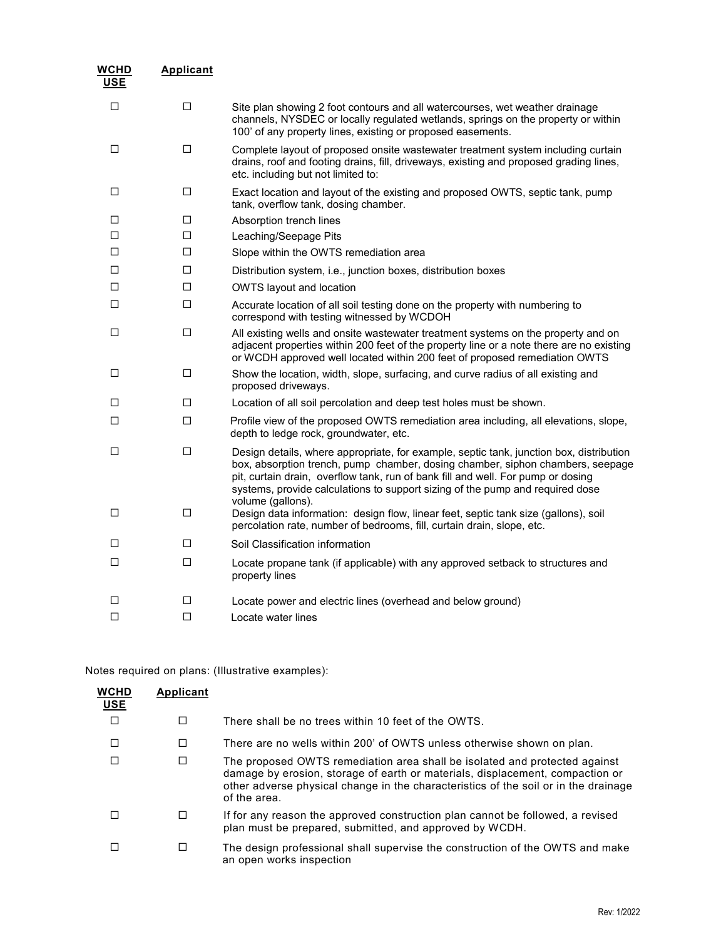| WCHD<br><b>USE</b> | <b>Applicant</b> |                                                                                                                                                                                                                                                                                                                                                                     |
|--------------------|------------------|---------------------------------------------------------------------------------------------------------------------------------------------------------------------------------------------------------------------------------------------------------------------------------------------------------------------------------------------------------------------|
| □                  | □                | Site plan showing 2 foot contours and all watercourses, wet weather drainage<br>channels, NYSDEC or locally regulated wetlands, springs on the property or within<br>100' of any property lines, existing or proposed easements.                                                                                                                                    |
| □                  | □                | Complete layout of proposed onsite wastewater treatment system including curtain<br>drains, roof and footing drains, fill, driveways, existing and proposed grading lines,<br>etc. including but not limited to:                                                                                                                                                    |
| □                  | □                | Exact location and layout of the existing and proposed OWTS, septic tank, pump<br>tank, overflow tank, dosing chamber.                                                                                                                                                                                                                                              |
| □                  | $\Box$           | Absorption trench lines                                                                                                                                                                                                                                                                                                                                             |
| п                  | □                | Leaching/Seepage Pits                                                                                                                                                                                                                                                                                                                                               |
| □                  | □                | Slope within the OWTS remediation area                                                                                                                                                                                                                                                                                                                              |
| □                  | □                | Distribution system, i.e., junction boxes, distribution boxes                                                                                                                                                                                                                                                                                                       |
| □                  | □                | <b>OWTS layout and location</b>                                                                                                                                                                                                                                                                                                                                     |
| □                  | □                | Accurate location of all soil testing done on the property with numbering to<br>correspond with testing witnessed by WCDOH                                                                                                                                                                                                                                          |
| □                  | □                | All existing wells and onsite wastewater treatment systems on the property and on<br>adjacent properties within 200 feet of the property line or a note there are no existing<br>or WCDH approved well located within 200 feet of proposed remediation OWTS                                                                                                         |
| □                  | □                | Show the location, width, slope, surfacing, and curve radius of all existing and<br>proposed driveways.                                                                                                                                                                                                                                                             |
| □                  | □                | Location of all soil percolation and deep test holes must be shown.                                                                                                                                                                                                                                                                                                 |
| ◻                  | □                | Profile view of the proposed OWTS remediation area including, all elevations, slope,<br>depth to ledge rock, groundwater, etc.                                                                                                                                                                                                                                      |
| □                  | □                | Design details, where appropriate, for example, septic tank, junction box, distribution<br>box, absorption trench, pump chamber, dosing chamber, siphon chambers, seepage<br>pit, curtain drain, overflow tank, run of bank fill and well. For pump or dosing<br>systems, provide calculations to support sizing of the pump and required dose<br>volume (gallons). |
| □                  | □                | Design data information: design flow, linear feet, septic tank size (gallons), soil<br>percolation rate, number of bedrooms, fill, curtain drain, slope, etc.                                                                                                                                                                                                       |
| □                  | □                | Soil Classification information                                                                                                                                                                                                                                                                                                                                     |
| □                  | □                | Locate propane tank (if applicable) with any approved setback to structures and<br>property lines                                                                                                                                                                                                                                                                   |
| □                  | □                | Locate power and electric lines (overhead and below ground)                                                                                                                                                                                                                                                                                                         |
| $\Box$             | □                | Locate water lines                                                                                                                                                                                                                                                                                                                                                  |
|                    |                  |                                                                                                                                                                                                                                                                                                                                                                     |

Notes required on plans: (Illustrative examples):

| <b>WCHD</b><br><u>USE</u> | Applicant |                                                                                                                                                                                                                                                                    |
|---------------------------|-----------|--------------------------------------------------------------------------------------------------------------------------------------------------------------------------------------------------------------------------------------------------------------------|
| $\Box$                    | $\Box$    | There shall be no trees within 10 feet of the OWTS.                                                                                                                                                                                                                |
| □                         | □         | There are no wells within 200' of OWTS unless otherwise shown on plan.                                                                                                                                                                                             |
|                           | □         | The proposed OWTS remediation area shall be isolated and protected against<br>damage by erosion, storage of earth or materials, displacement, compaction or<br>other adverse physical change in the characteristics of the soil or in the drainage<br>of the area. |
|                           | □         | If for any reason the approved construction plan cannot be followed, a revised<br>plan must be prepared, submitted, and approved by WCDH.                                                                                                                          |
|                           | □         | The design professional shall supervise the construction of the OWTS and make<br>an open works inspection                                                                                                                                                          |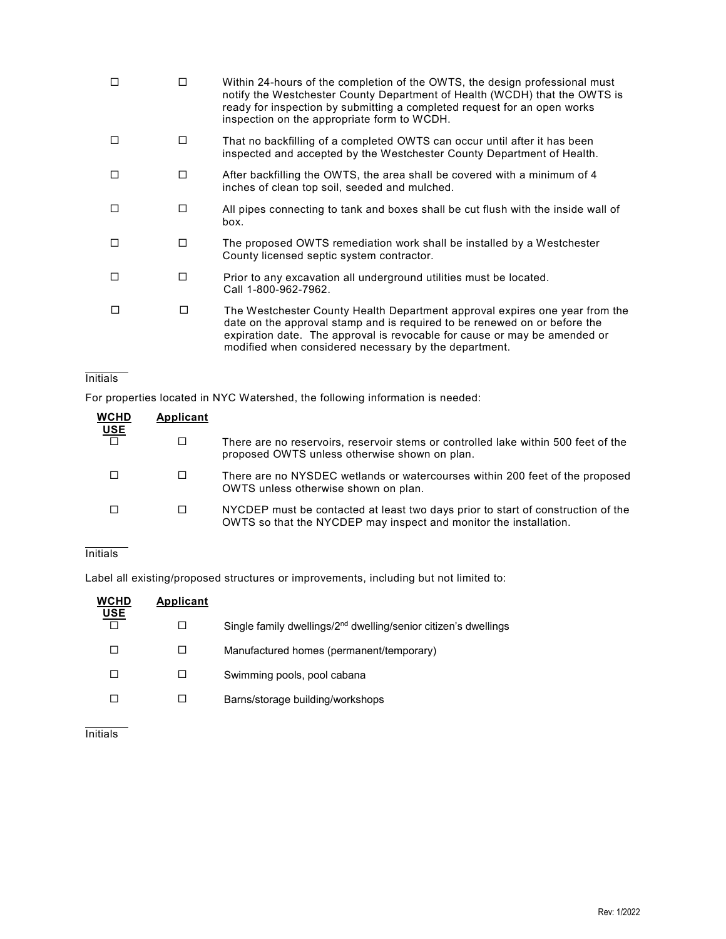|   | п | Within 24-hours of the completion of the OWTS, the design professional must<br>notify the Westchester County Department of Health (WCDH) that the OWTS is<br>ready for inspection by submitting a completed request for an open works<br>inspection on the appropriate form to WCDH.           |
|---|---|------------------------------------------------------------------------------------------------------------------------------------------------------------------------------------------------------------------------------------------------------------------------------------------------|
| П | П | That no backfilling of a completed OWTS can occur until after it has been<br>inspected and accepted by the Westchester County Department of Health.                                                                                                                                            |
| П | п | After backfilling the OWTS, the area shall be covered with a minimum of 4<br>inches of clean top soil, seeded and mulched.                                                                                                                                                                     |
| П | П | All pipes connecting to tank and boxes shall be cut flush with the inside wall of<br>box.                                                                                                                                                                                                      |
| П | п | The proposed OWTS remediation work shall be installed by a Westchester<br>County licensed septic system contractor.                                                                                                                                                                            |
| П | п | Prior to any excavation all underground utilities must be located.<br>Call 1-800-962-7962.                                                                                                                                                                                                     |
|   | п | The Westchester County Health Department approval expires one year from the<br>date on the approval stamp and is required to be renewed on or before the<br>expiration date. The approval is revocable for cause or may be amended or<br>modified when considered necessary by the department. |

## **Initials**

For properties located in NYC Watershed, the following information is needed:

| <b>WCHD</b><br><b>USE</b> | Applicant |                                                                                                                                                       |
|---------------------------|-----------|-------------------------------------------------------------------------------------------------------------------------------------------------------|
| $\Box$                    | □         | There are no reservoirs, reservoir stems or controlled lake within 500 feet of the<br>proposed OWTS unless otherwise shown on plan.                   |
|                           | $\Box$    | There are no NYSDEC wetlands or watercourses within 200 feet of the proposed<br>OWTS unless otherwise shown on plan.                                  |
|                           |           | NYCDEP must be contacted at least two days prior to start of construction of the<br>OWTS so that the NYCDEP may inspect and monitor the installation. |

## **Initials**

Label all existing/proposed structures or improvements, including but not limited to:

| <b>WCHD</b><br><b>USE</b> | Applicant |                                                                             |
|---------------------------|-----------|-----------------------------------------------------------------------------|
|                           |           | Single family dwellings/2 <sup>nd</sup> dwelling/senior citizen's dwellings |
|                           |           | Manufactured homes (permanent/temporary)                                    |
|                           | ΙI        | Swimming pools, pool cabana                                                 |
|                           |           | Barns/storage building/workshops                                            |

# **Initials**